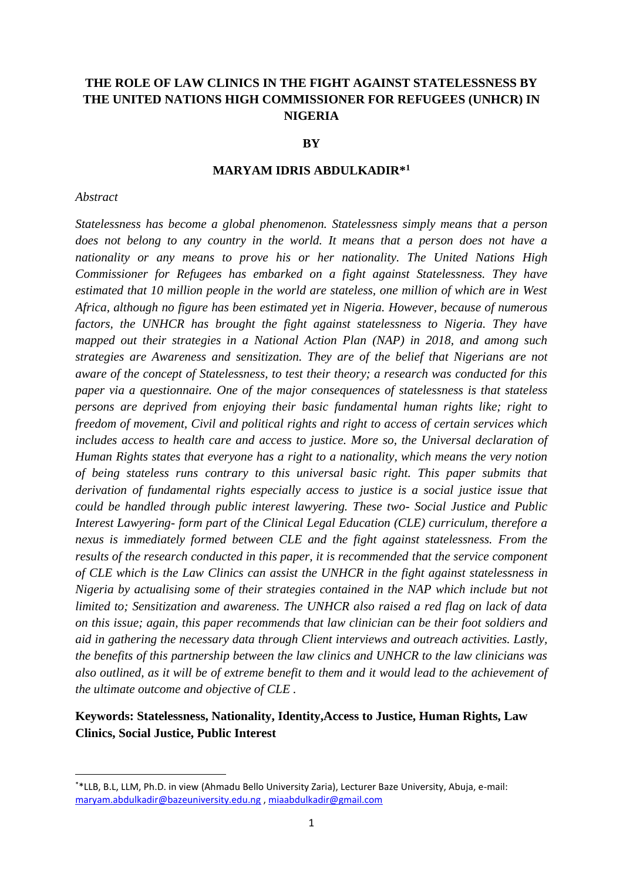# **THE ROLE OF LAW CLINICS IN THE FIGHT AGAINST STATELESSNESS BY THE UNITED NATIONS HIGH COMMISSIONER FOR REFUGEES (UNHCR) IN NIGERIA**

#### **BY**

### **MARYAM IDRIS ABDULKADIR\*<sup>1</sup>**

#### *Abstract*

 $\overline{\phantom{a}}$ 

*Statelessness has become a global phenomenon. Statelessness simply means that a person does not belong to any country in the world. It means that a person does not have a nationality or any means to prove his or her nationality. The United Nations High Commissioner for Refugees has embarked on a fight against Statelessness. They have estimated that 10 million people in the world are stateless, one million of which are in West Africa, although no figure has been estimated yet in Nigeria. However, because of numerous factors, the UNHCR has brought the fight against statelessness to Nigeria. They have mapped out their strategies in a National Action Plan (NAP) in 2018, and among such strategies are Awareness and sensitization. They are of the belief that Nigerians are not aware of the concept of Statelessness, to test their theory; a research was conducted for this paper via a questionnaire. One of the major consequences of statelessness is that stateless persons are deprived from enjoying their basic fundamental human rights like; right to freedom of movement, Civil and political rights and right to access of certain services which includes access to health care and access to justice. More so, the Universal declaration of Human Rights states that everyone has a right to a nationality, which means the very notion of being stateless runs contrary to this universal basic right. This paper submits that derivation of fundamental rights especially access to justice is a social justice issue that could be handled through public interest lawyering. These two- Social Justice and Public Interest Lawyering- form part of the Clinical Legal Education (CLE) curriculum, therefore a nexus is immediately formed between CLE and the fight against statelessness. From the results of the research conducted in this paper, it is recommended that the service component of CLE which is the Law Clinics can assist the UNHCR in the fight against statelessness in Nigeria by actualising some of their strategies contained in the NAP which include but not limited to; Sensitization and awareness. The UNHCR also raised a red flag on lack of data on this issue; again, this paper recommends that law clinician can be their foot soldiers and aid in gathering the necessary data through Client interviews and outreach activities. Lastly, the benefits of this partnership between the law clinics and UNHCR to the law clinicians was also outlined, as it will be of extreme benefit to them and it would lead to the achievement of the ultimate outcome and objective of CLE .*

# **Keywords: Statelessness, Nationality, Identity,Access to Justice, Human Rights, Law Clinics, Social Justice, Public Interest**

<sup>\*</sup>\*LLB, B.L, LLM, Ph.D. in view (Ahmadu Bello University Zaria), Lecturer Baze University, Abuja, e-mail: [maryam.abdulkadir@bazeuniversity.edu.ng](mailto:maryam.abdulkadir@bazeuniversity.edu.ng) [, miaabdulkadir@gmail.com](mailto:miaabdulkadir@gmail.com)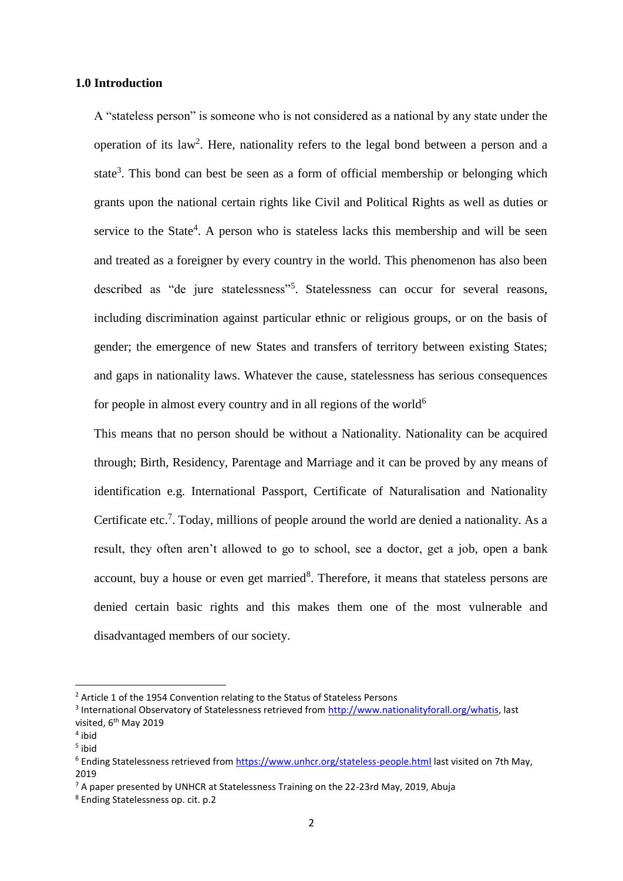### **1.0 Introduction**

A "stateless person" is someone who is not considered as a national by any state under the operation of its law<sup>2</sup>. Here, nationality refers to the legal bond between a person and a state<sup>3</sup>. This bond can best be seen as a form of official membership or belonging which grants upon the national certain rights like Civil and Political Rights as well as duties or service to the State<sup>4</sup>. A person who is stateless lacks this membership and will be seen and treated as a foreigner by every country in the world. This phenomenon has also been described as "de jure statelessness"<sup>5</sup>. Statelessness can occur for several reasons, including discrimination against particular ethnic or religious groups, or on the basis of gender; the emergence of new States and transfers of territory between existing States; and gaps in nationality laws. Whatever the cause, statelessness has serious consequences for people in almost every country and in all regions of the world<sup>6</sup>

This means that no person should be without a Nationality. Nationality can be acquired through; Birth, Residency, Parentage and Marriage and it can be proved by any means of identification e.g. International Passport, Certificate of Naturalisation and Nationality Certificate etc.<sup>7</sup>. Today, millions of people around the world are denied a nationality. As a result, they often aren't allowed to go to school, see a doctor, get a job, open a bank account, buy a house or even get married<sup>8</sup>. Therefore, it means that stateless persons are denied certain basic rights and this makes them one of the most vulnerable and disadvantaged members of our society.

 $\overline{\phantom{a}}$ 

 $2$  Article 1 of the 1954 Convention relating to the Status of Stateless Persons

<sup>&</sup>lt;sup>3</sup> International Observatory of Statelessness retrieved from [http://www.nationalityforall.org/whatis,](http://www.nationalityforall.org/whatis) last visited, 6<sup>th</sup> May 2019

<sup>4</sup> ibid

<sup>5</sup> ibid

<sup>&</sup>lt;sup>6</sup> Ending Statelessness retrieved fro[m https://www.unhcr.org/stateless-people.html](https://www.unhcr.org/stateless-people.html) last visited on 7th May, 2019

 $<sup>7</sup>$  A paper presented by UNHCR at Statelessness Training on the 22-23rd May, 2019, Abuja</sup>

<sup>8</sup> Ending Statelessness op. cit. p.2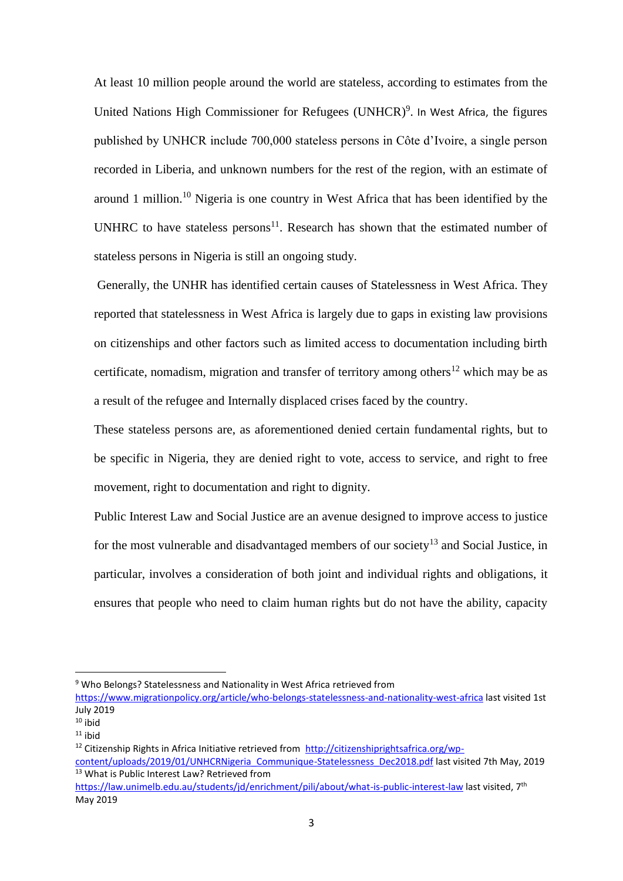At least 10 million people around the world are stateless, according to estimates from the United Nations High Commissioner for Refugees (UNHCR)<sup>9</sup>. In West Africa, the figures published by UNHCR include 700,000 stateless persons in Côte d'Ivoire, a single person recorded in Liberia, and unknown numbers for the rest of the region, with an estimate of around 1 million.<sup>10</sup> Nigeria is one country in West Africa that has been identified by the UNHRC to have stateless persons $^{11}$ . Research has shown that the estimated number of stateless persons in Nigeria is still an ongoing study.

Generally, the UNHR has identified certain causes of Statelessness in West Africa. They reported that statelessness in West Africa is largely due to gaps in existing law provisions on citizenships and other factors such as limited access to documentation including birth certificate, nomadism, migration and transfer of territory among others<sup>12</sup> which may be as a result of the refugee and Internally displaced crises faced by the country.

These stateless persons are, as aforementioned denied certain fundamental rights, but to be specific in Nigeria, they are denied right to vote, access to service, and right to free movement, right to documentation and right to dignity.

Public Interest Law and Social Justice are an avenue designed to improve access to justice for the most vulnerable and disadvantaged members of our society<sup>13</sup> and Social Justice, in particular, involves a consideration of both joint and individual rights and obligations, it ensures that people who need to claim human rights but do not have the ability, capacity

1

<sup>9</sup> Who Belongs? Statelessness and Nationality in West Africa retrieved from

<https://www.migrationpolicy.org/article/who-belongs-statelessness-and-nationality-west-africa> last visited 1st July 2019

 $10$  ibid

 $11$  ihid

<sup>&</sup>lt;sup>12</sup> Citizenship Rights in Africa Initiative retrieved from [http://citizenshiprightsafrica.org/wp-](http://citizenshiprightsafrica.org/wp-content/uploads/2019/01/UNHCRNigeria_Communique-Statelessness_Dec2018.pdf)

[content/uploads/2019/01/UNHCRNigeria\\_Communique-Statelessness\\_Dec2018.pdf](http://citizenshiprightsafrica.org/wp-content/uploads/2019/01/UNHCRNigeria_Communique-Statelessness_Dec2018.pdf) last visited 7th May. 2019 <sup>13</sup> What is Public Interest Law? Retrieved from

https://law.unimelb.edu.au/students/id/enrichment/pili/about/what-is-public-interest-law last visited, 7<sup>th</sup> May 2019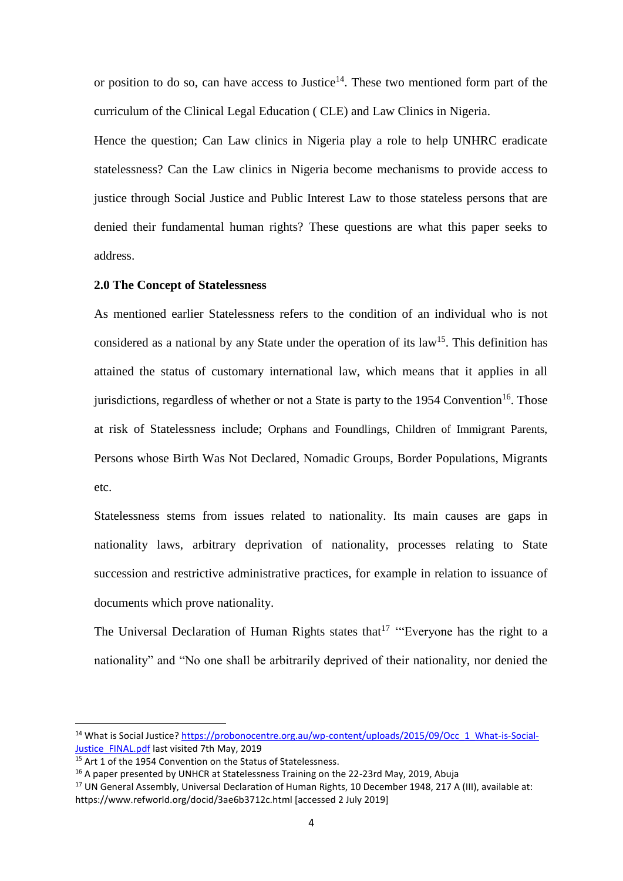or position to do so, can have access to Justice<sup>14</sup>. These two mentioned form part of the curriculum of the Clinical Legal Education ( CLE) and Law Clinics in Nigeria.

Hence the question; Can Law clinics in Nigeria play a role to help UNHRC eradicate statelessness? Can the Law clinics in Nigeria become mechanisms to provide access to justice through Social Justice and Public Interest Law to those stateless persons that are denied their fundamental human rights? These questions are what this paper seeks to address.

### **2.0 The Concept of Statelessness**

As mentioned earlier Statelessness refers to the condition of an individual who is not considered as a national by any State under the operation of its law<sup>15</sup>. This definition has attained the status of customary international law, which means that it applies in all jurisdictions, regardless of whether or not a State is party to the 1954 Convention<sup>16</sup>. Those at risk of Statelessness include; Orphans and Foundlings, Children of Immigrant Parents, Persons whose Birth Was Not Declared, Nomadic Groups, Border Populations, Migrants etc.

Statelessness stems from issues related to nationality. Its main causes are gaps in nationality laws, arbitrary deprivation of nationality, processes relating to State succession and restrictive administrative practices, for example in relation to issuance of documents which prove nationality.

The Universal Declaration of Human Rights states that  $17$  "Everyone has the right to a nationality" and "No one shall be arbitrarily deprived of their nationality, nor denied the

<sup>&</sup>lt;sup>14</sup> What is Social Justice? [https://probonocentre.org.au/wp-content/uploads/2015/09/Occ\\_1\\_What-is-Social-](https://probonocentre.org.au/wp-content/uploads/2015/09/Occ_1_What-is-Social-Justice_FINAL.pdf)[Justice\\_FINAL.pdf](https://probonocentre.org.au/wp-content/uploads/2015/09/Occ_1_What-is-Social-Justice_FINAL.pdf) last visited 7th May, 2019

 $15$  Art 1 of the 1954 Convention on the Status of Statelessness.

<sup>&</sup>lt;sup>16</sup> A paper presented by UNHCR at Statelessness Training on the 22-23rd May, 2019, Abuja

<sup>&</sup>lt;sup>17</sup> UN General Assembly, Universal Declaration of Human Rights, 10 December 1948, 217 A (III), available at: https://www.refworld.org/docid/3ae6b3712c.html [accessed 2 July 2019]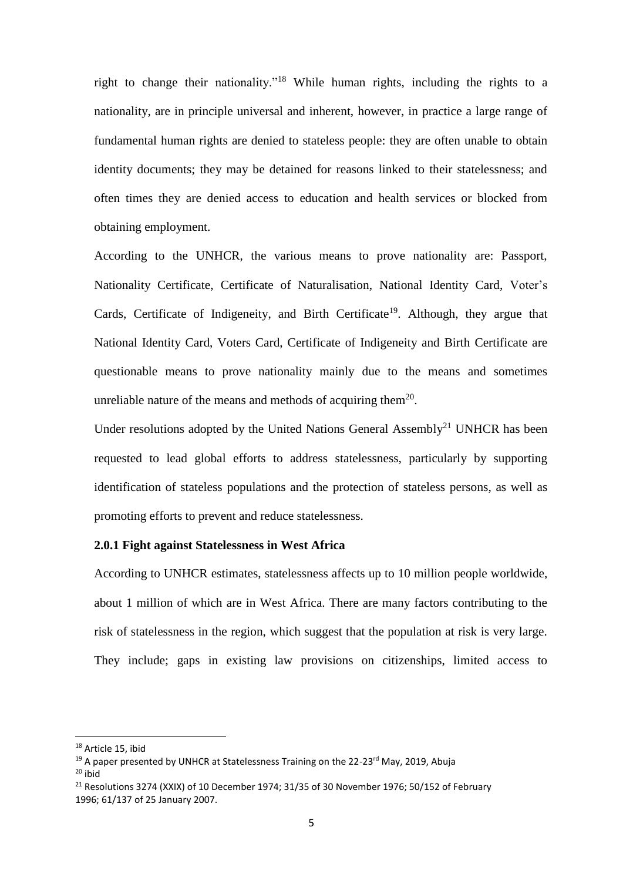right to change their nationality."<sup>18</sup> While human rights, including the rights to a nationality, are in principle universal and inherent, however, in practice a large range of fundamental human rights are denied to stateless people: they are often unable to obtain identity documents; they may be detained for reasons linked to their statelessness; and often times they are denied access to education and health services or blocked from obtaining employment.

According to the UNHCR, the various means to prove nationality are: Passport, Nationality Certificate, Certificate of Naturalisation, National Identity Card, Voter's Cards, Certificate of Indigeneity, and Birth Certificate<sup>19</sup>. Although, they argue that National Identity Card, Voters Card, Certificate of Indigeneity and Birth Certificate are questionable means to prove nationality mainly due to the means and sometimes unreliable nature of the means and methods of acquiring them $20$ .

Under resolutions adopted by the United Nations General Assembly<sup>21</sup> UNHCR has been requested to lead global efforts to address statelessness, particularly by supporting identification of stateless populations and the protection of stateless persons, as well as promoting efforts to prevent and reduce statelessness.

### **2.0.1 Fight against Statelessness in West Africa**

According to UNHCR estimates, statelessness affects up to 10 million people worldwide, about 1 million of which are in West Africa. There are many factors contributing to the risk of statelessness in the region, which suggest that the population at risk is very large. They include; gaps in existing law provisions on citizenships, limited access to

<sup>&</sup>lt;sup>18</sup> Article 15, ibid

<sup>&</sup>lt;sup>19</sup> A paper presented by UNHCR at Statelessness Training on the 22-23<sup>rd</sup> May, 2019, Abuja

 $20$  ibid

<sup>&</sup>lt;sup>21</sup> Resolutions 3274 (XXIX) of 10 December 1974; 31/35 of 30 November 1976; 50/152 of February 1996; 61/137 of 25 January 2007.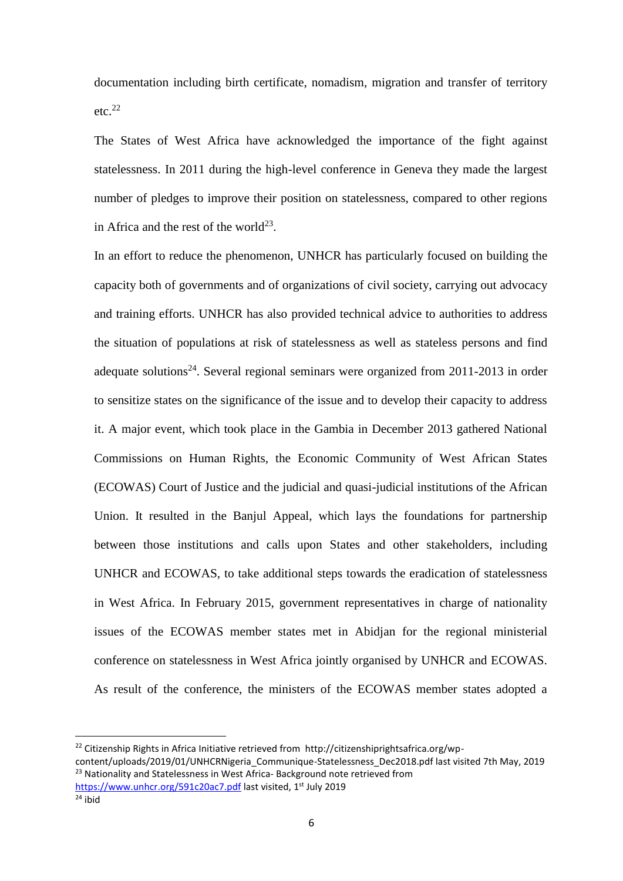documentation including birth certificate, nomadism, migration and transfer of territory etc. $22$ 

The States of West Africa have acknowledged the importance of the fight against statelessness. In 2011 during the high-level conference in Geneva they made the largest number of pledges to improve their position on statelessness, compared to other regions in Africa and the rest of the world<sup>23</sup>.

In an effort to reduce the phenomenon, UNHCR has particularly focused on building the capacity both of governments and of organizations of civil society, carrying out advocacy and training efforts. UNHCR has also provided technical advice to authorities to address the situation of populations at risk of statelessness as well as stateless persons and find adequate solutions<sup>24</sup>. Several regional seminars were organized from 2011-2013 in order to sensitize states on the significance of the issue and to develop their capacity to address it. A major event, which took place in the Gambia in December 2013 gathered National Commissions on Human Rights, the Economic Community of West African States (ECOWAS) Court of Justice and the judicial and quasi-judicial institutions of the African Union. It resulted in the Banjul Appeal, which lays the foundations for partnership between those institutions and calls upon States and other stakeholders, including UNHCR and ECOWAS, to take additional steps towards the eradication of statelessness in West Africa. In February 2015, government representatives in charge of nationality issues of the ECOWAS member states met in Abidjan for the regional ministerial conference on statelessness in West Africa jointly organised by UNHCR and ECOWAS. As result of the conference, the ministers of the ECOWAS member states adopted a

<sup>&</sup>lt;sup>22</sup> Citizenship Rights in Africa Initiative retrieved from http://citizenshiprightsafrica.org/wpcontent/uploads/2019/01/UNHCRNigeria\_Communique-Statelessness\_Dec2018.pdf last visited 7th May, 2019 <sup>23</sup> Nationality and Statelessness in West Africa- Background note retrieved from <https://www.unhcr.org/591c20ac7.pdf> last visited, 1<sup>st</sup> July 2019

 $24$  ibid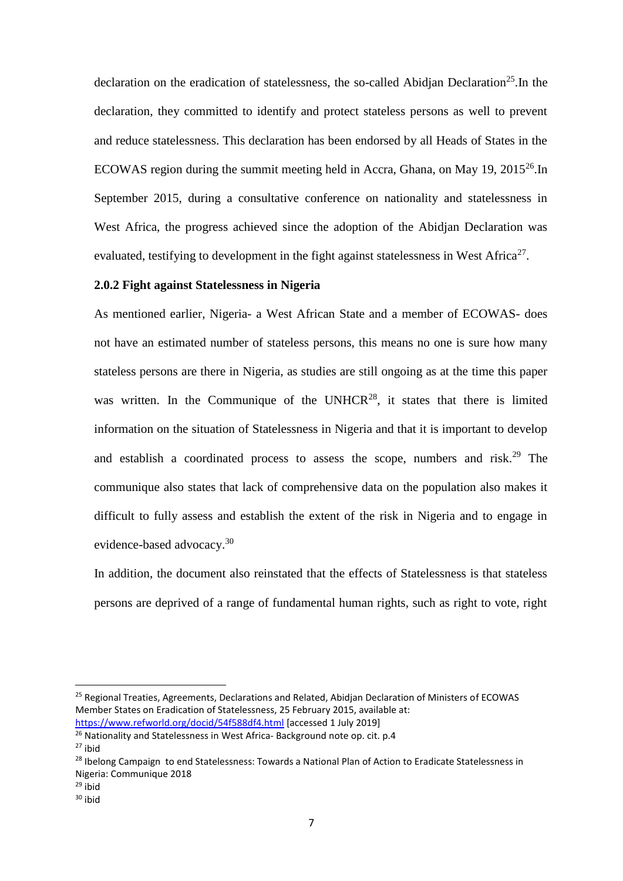declaration on the eradication of statelessness, the so-called Abidjan Declaration<sup>25</sup>. In the declaration, they committed to identify and protect stateless persons as well to prevent and reduce statelessness. This declaration has been endorsed by all Heads of States in the ECOWAS region during the summit meeting held in Accra, Ghana, on May 19, 2015<sup>26</sup>.In September 2015, during a consultative conference on nationality and statelessness in West Africa, the progress achieved since the adoption of the Abidjan Declaration was evaluated, testifying to development in the fight against statelessness in West Africa<sup>27</sup>.

### **2.0.2 Fight against Statelessness in Nigeria**

As mentioned earlier, Nigeria- a West African State and a member of ECOWAS- does not have an estimated number of stateless persons, this means no one is sure how many stateless persons are there in Nigeria, as studies are still ongoing as at the time this paper was written. In the Communique of the UNHCR<sup>28</sup>, it states that there is limited information on the situation of Statelessness in Nigeria and that it is important to develop and establish a coordinated process to assess the scope, numbers and risk.<sup>29</sup> The communique also states that lack of comprehensive data on the population also makes it difficult to fully assess and establish the extent of the risk in Nigeria and to engage in evidence-based advocacy.<sup>30</sup>

In addition, the document also reinstated that the effects of Statelessness is that stateless persons are deprived of a range of fundamental human rights, such as right to vote, right

 $\overline{\phantom{a}}$ 

<sup>&</sup>lt;sup>25</sup> Regional Treaties, Agreements, Declarations and Related, Abidjan Declaration of Ministers of ECOWAS Member States on Eradication of Statelessness, 25 February 2015, available at: <https://www.refworld.org/docid/54f588df4.html> [accessed 1 July 2019]

<sup>&</sup>lt;sup>26</sup> Nationality and Statelessness in West Africa- Background note op. cit. p.4

 $27$  ibid

<sup>&</sup>lt;sup>28</sup> Ibelong Campaign to end Statelessness: Towards a National Plan of Action to Eradicate Statelessness in Nigeria: Communique 2018

 $29$  ihid

 $30$  ibid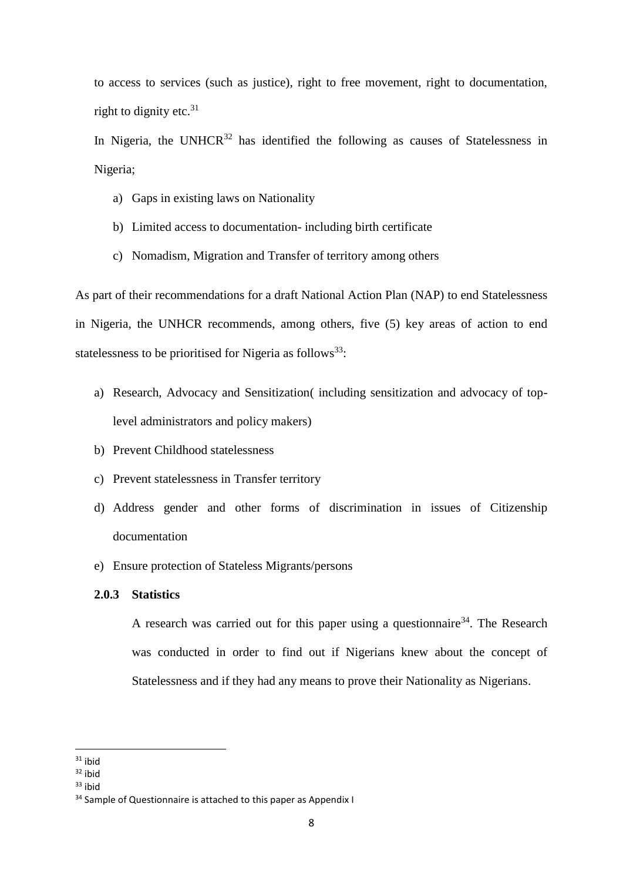to access to services (such as justice), right to free movement, right to documentation, right to dignity etc.  $31$ 

In Nigeria, the UNHCR $32$  has identified the following as causes of Statelessness in Nigeria;

- a) Gaps in existing laws on Nationality
- b) Limited access to documentation- including birth certificate
- c) Nomadism, Migration and Transfer of territory among others

As part of their recommendations for a draft National Action Plan (NAP) to end Statelessness in Nigeria, the UNHCR recommends, among others, five (5) key areas of action to end statelessness to be prioritised for Nigeria as follows<sup>33</sup>:

- a) Research, Advocacy and Sensitization( including sensitization and advocacy of toplevel administrators and policy makers)
- b) Prevent Childhood statelessness
- c) Prevent statelessness in Transfer territory
- d) Address gender and other forms of discrimination in issues of Citizenship documentation
- e) Ensure protection of Stateless Migrants/persons

## **2.0.3 Statistics**

A research was carried out for this paper using a questionnaire<sup>34</sup>. The Research was conducted in order to find out if Nigerians knew about the concept of Statelessness and if they had any means to prove their Nationality as Nigerians.

 $\overline{\phantom{a}}$ 

 $31$  ibid

<sup>32</sup> ibid

<sup>33</sup> ibid

<sup>&</sup>lt;sup>34</sup> Sample of Questionnaire is attached to this paper as Appendix I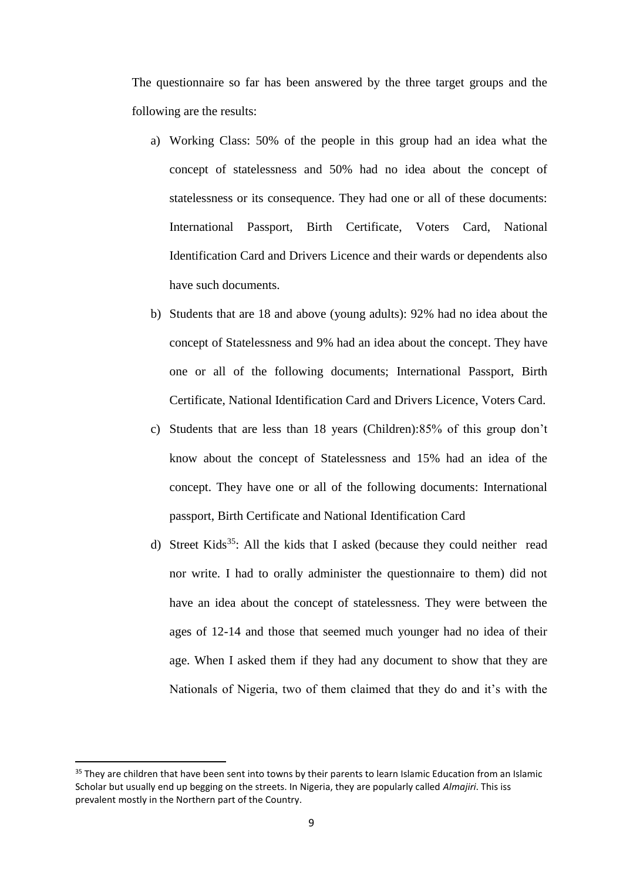The questionnaire so far has been answered by the three target groups and the following are the results:

- a) Working Class: 50% of the people in this group had an idea what the concept of statelessness and 50% had no idea about the concept of statelessness or its consequence. They had one or all of these documents: International Passport, Birth Certificate, Voters Card, National Identification Card and Drivers Licence and their wards or dependents also have such documents.
- b) Students that are 18 and above (young adults): 92% had no idea about the concept of Statelessness and 9% had an idea about the concept. They have one or all of the following documents; International Passport, Birth Certificate, National Identification Card and Drivers Licence, Voters Card.
- c) Students that are less than 18 years (Children):85% of this group don't know about the concept of Statelessness and 15% had an idea of the concept. They have one or all of the following documents: International passport, Birth Certificate and National Identification Card
- d) Street Kids<sup>35</sup>: All the kids that I asked (because they could neither read nor write. I had to orally administer the questionnaire to them) did not have an idea about the concept of statelessness. They were between the ages of 12-14 and those that seemed much younger had no idea of their age. When I asked them if they had any document to show that they are Nationals of Nigeria, two of them claimed that they do and it's with the

<sup>&</sup>lt;sup>35</sup> They are children that have been sent into towns by their parents to learn Islamic Education from an Islamic Scholar but usually end up begging on the streets. In Nigeria, they are popularly called *Almajiri*. This iss prevalent mostly in the Northern part of the Country.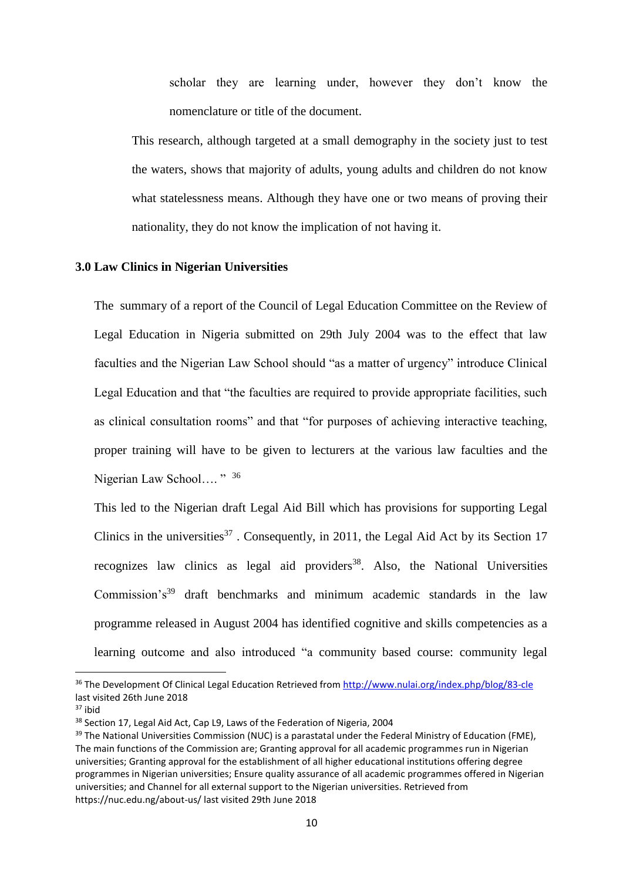scholar they are learning under, however they don't know the nomenclature or title of the document.

This research, although targeted at a small demography in the society just to test the waters, shows that majority of adults, young adults and children do not know what statelessness means. Although they have one or two means of proving their nationality, they do not know the implication of not having it.

#### **3.0 Law Clinics in Nigerian Universities**

The summary of a report of the Council of Legal Education Committee on the Review of Legal Education in Nigeria submitted on 29th July 2004 was to the effect that law faculties and the Nigerian Law School should "as a matter of urgency" introduce Clinical Legal Education and that "the faculties are required to provide appropriate facilities, such as clinical consultation rooms" and that "for purposes of achieving interactive teaching, proper training will have to be given to lecturers at the various law faculties and the Nigerian Law School…. " <sup>36</sup>

This led to the Nigerian draft Legal Aid Bill which has provisions for supporting Legal Clinics in the universities<sup>37</sup>. Consequently, in 2011, the Legal Aid Act by its Section 17 recognizes law clinics as legal aid providers<sup>38</sup>. Also, the National Universities Commission's<sup>39</sup> draft benchmarks and minimum academic standards in the law programme released in August 2004 has identified cognitive and skills competencies as a learning outcome and also introduced "a community based course: community legal

1

<sup>36</sup> The Development Of Clinical Legal Education Retrieved from<http://www.nulai.org/index.php/blog/83-cle> last visited 26th June 2018

<sup>37</sup> ibid

<sup>&</sup>lt;sup>38</sup> Section 17, Legal Aid Act, Cap L9, Laws of the Federation of Nigeria, 2004

<sup>&</sup>lt;sup>39</sup> The National Universities Commission (NUC) is a parastatal under the Federal Ministry of Education (FME), The main functions of the Commission are; Granting approval for all academic programmes run in Nigerian universities; Granting approval for the establishment of all higher educational institutions offering degree programmes in Nigerian universities; Ensure quality assurance of all academic programmes offered in Nigerian universities; and Channel for all external support to the Nigerian universities. Retrieved from https://nuc.edu.ng/about-us/ last visited 29th June 2018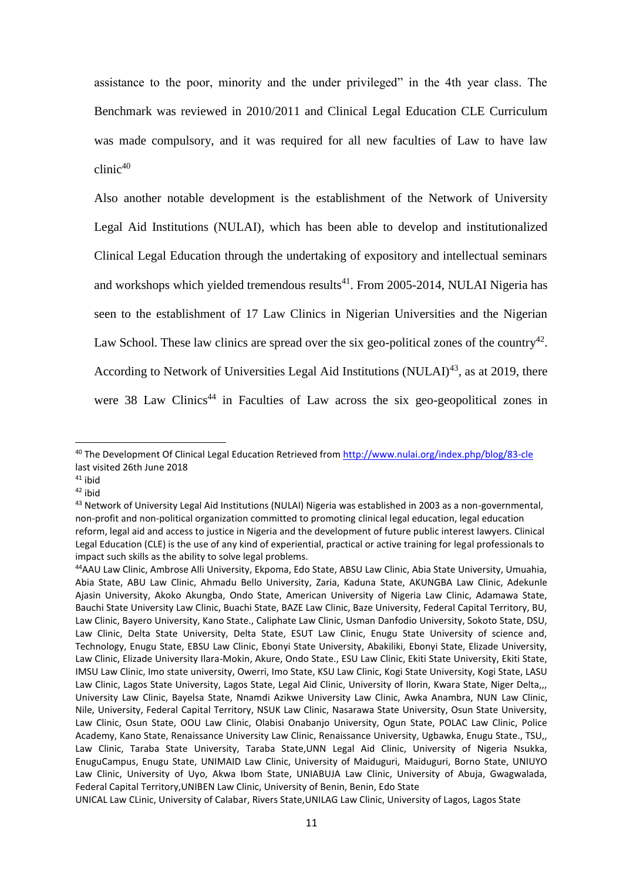assistance to the poor, minority and the under privileged" in the 4th year class. The Benchmark was reviewed in 2010/2011 and Clinical Legal Education CLE Curriculum was made compulsory, and it was required for all new faculties of Law to have law clinic 40

Also another notable development is the establishment of the Network of University Legal Aid Institutions (NULAI), which has been able to develop and institutionalized Clinical Legal Education through the undertaking of expository and intellectual seminars and workshops which yielded tremendous results<sup>41</sup>. From 2005-2014, NULAI Nigeria has seen to the establishment of 17 Law Clinics in Nigerian Universities and the Nigerian Law School. These law clinics are spread over the six geo-political zones of the country<sup>42</sup>. According to Network of Universities Legal Aid Institutions (NULAI)<sup>43</sup>, as at 2019, there were 38 Law Clinics<sup>44</sup> in Faculties of Law across the six geo-geopolitical zones in

<sup>41</sup> ibid

<sup>42</sup> ibid

<sup>40</sup> The Development Of Clinical Legal Education Retrieved from<http://www.nulai.org/index.php/blog/83-cle> last visited 26th June 2018

<sup>43</sup> Network of University Legal Aid Institutions (NULAI) Nigeria was established in 2003 as a non-governmental, non-profit and non-political organization committed to promoting clinical legal education, legal education reform, legal aid and access to justice in Nigeria and the development of future public interest lawyers. Clinical Legal Education (CLE) is the use of any kind of experiential, practical or active training for legal professionals to impact such skills as the ability to solve legal problems.

<sup>44</sup>AAU Law Clinic, Ambrose Alli University, Ekpoma, Edo State, ABSU Law Clinic, Abia State University, Umuahia, Abia State, ABU Law Clinic, Ahmadu Bello University, Zaria, Kaduna State, AKUNGBA Law Clinic, Adekunle Ajasin University, Akoko Akungba, Ondo State, American University of Nigeria Law Clinic, Adamawa State, Bauchi State University Law Clinic, Buachi State, BAZE Law Clinic, Baze University, Federal Capital Territory, BU, Law Clinic, Bayero University, Kano State., Caliphate Law Clinic, Usman Danfodio University, Sokoto State, DSU, Law Clinic, Delta State University, Delta State, ESUT Law Clinic, Enugu State University of science and, Technology, Enugu State, EBSU Law Clinic, Ebonyi State University, Abakiliki, Ebonyi State, Elizade University, Law Clinic, Elizade University Ilara-Mokin, Akure, Ondo State., ESU Law Clinic, Ekiti State University, Ekiti State, IMSU Law Clinic, Imo state university, Owerri, Imo State, KSU Law Clinic, Kogi State University, Kogi State, LASU Law Clinic, Lagos State University, Lagos State, Legal Aid Clinic, University of Ilorin, Kwara State, Niger Delta,,, University Law Clinic, Bayelsa State, Nnamdi Azikwe University Law Clinic, Awka Anambra, NUN Law Clinic, Nile, University, Federal Capital Territory, NSUK Law Clinic, Nasarawa State University, Osun State University, Law Clinic, Osun State, OOU Law Clinic, Olabisi Onabanjo University, Ogun State, POLAC Law Clinic, Police Academy, Kano State, Renaissance University Law Clinic, Renaissance University, Ugbawka, Enugu State., TSU,, Law Clinic, Taraba State University, Taraba State,UNN Legal Aid Clinic, University of Nigeria Nsukka, EnuguCampus, Enugu State, UNIMAID Law Clinic, University of Maiduguri, Maiduguri, Borno State, UNIUYO Law Clinic, University of Uyo, Akwa Ibom State, UNIABUJA Law Clinic, University of Abuja, Gwagwalada, Federal Capital Territory,UNIBEN Law Clinic, University of Benin, Benin, Edo State

UNICAL Law CLinic, University of Calabar, Rivers State,UNILAG Law Clinic, University of Lagos, Lagos State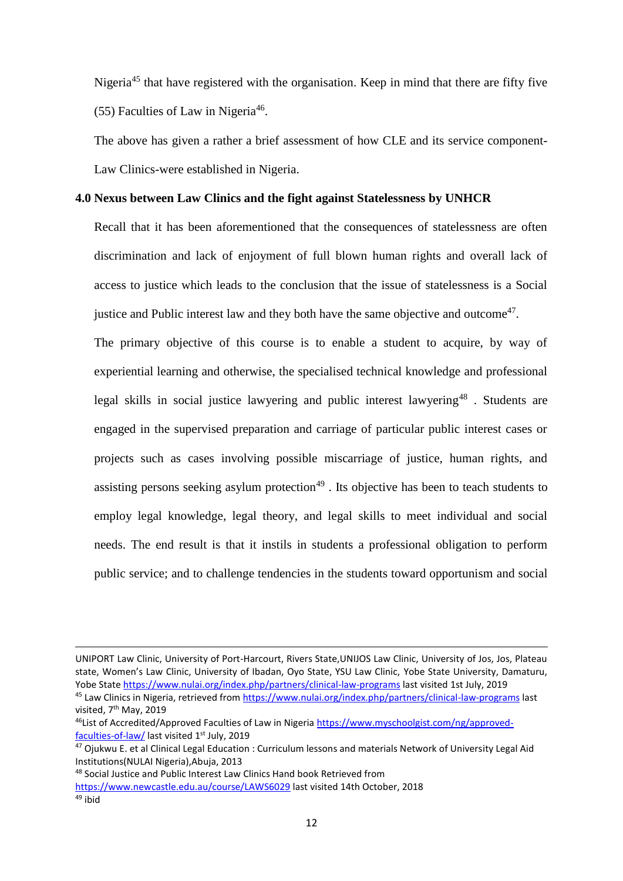Nigeria<sup>45</sup> that have registered with the organisation. Keep in mind that there are fifty five (55) Faculties of Law in Nigeria<sup>46</sup>.

The above has given a rather a brief assessment of how CLE and its service component-Law Clinics-were established in Nigeria.

### **4.0 Nexus between Law Clinics and the fight against Statelessness by UNHCR**

Recall that it has been aforementioned that the consequences of statelessness are often discrimination and lack of enjoyment of full blown human rights and overall lack of access to justice which leads to the conclusion that the issue of statelessness is a Social justice and Public interest law and they both have the same objective and outcome $47$ .

The primary objective of this course is to enable a student to acquire, by way of experiential learning and otherwise, the specialised technical knowledge and professional legal skills in social justice lawyering and public interest lawyering<sup>48</sup>. Students are engaged in the supervised preparation and carriage of particular public interest cases or projects such as cases involving possible miscarriage of justice, human rights, and assisting persons seeking asylum protection<sup>49</sup>. Its objective has been to teach students to employ legal knowledge, legal theory, and legal skills to meet individual and social needs. The end result is that it instils in students a professional obligation to perform public service; and to challenge tendencies in the students toward opportunism and social

UNIPORT Law Clinic, University of Port-Harcourt, Rivers State,UNIJOS Law Clinic, University of Jos, Jos, Plateau state, Women's Law Clinic, University of Ibadan, Oyo State, YSU Law Clinic, Yobe State University, Damaturu, Yobe State<https://www.nulai.org/index.php/partners/clinical-law-programs> last visited 1st July, 2019

<sup>45</sup> Law Clinics in Nigeria, retrieved from<https://www.nulai.org/index.php/partners/clinical-law-programs> last visited, 7<sup>th</sup> May, 2019

<sup>&</sup>lt;sup>46</sup>List of Accredited/Approved Faculties of Law in Nigeria [https://www.myschoolgist.com/ng/approved](https://www.myschoolgist.com/ng/approved-faculties-of-law/)[faculties-of-law/](https://www.myschoolgist.com/ng/approved-faculties-of-law/) last visited 1<sup>st</sup> July, 2019

<sup>&</sup>lt;sup>47</sup> Ojukwu E. et al Clinical Legal Education : Curriculum lessons and materials Network of University Legal Aid Institutions(NULAI Nigeria),Abuja, 2013

<sup>48</sup> Social Justice and Public Interest Law Clinics Hand book Retrieved from <https://www.newcastle.edu.au/course/LAWS6029> last visited 14th October, 2018 <sup>49</sup> ibid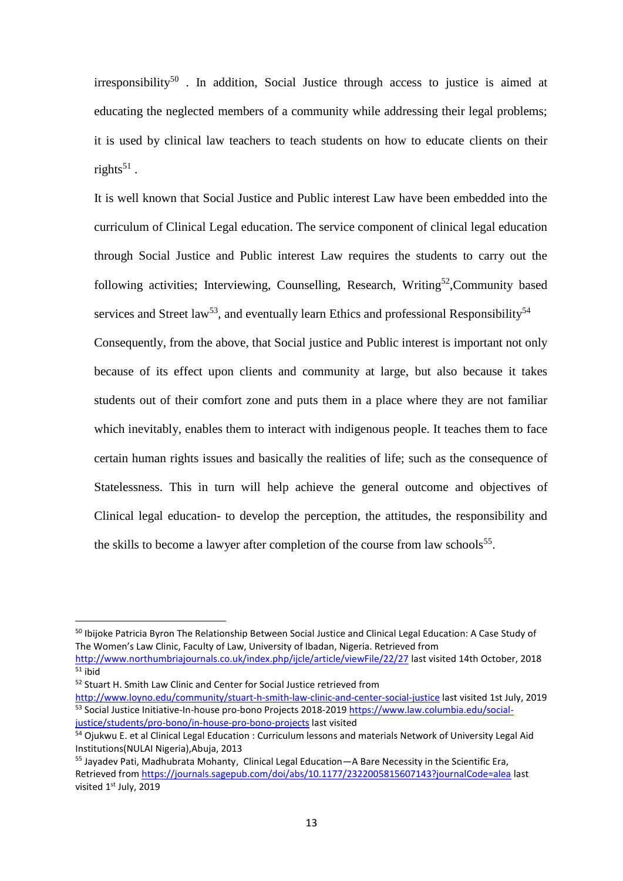$irrespondity<sup>50</sup>$ . In addition, Social Justice through access to justice is aimed at educating the neglected members of a community while addressing their legal problems; it is used by clinical law teachers to teach students on how to educate clients on their rights<sup>51</sup>.

It is well known that Social Justice and Public interest Law have been embedded into the curriculum of Clinical Legal education. The service component of clinical legal education through Social Justice and Public interest Law requires the students to carry out the following activities; Interviewing, Counselling, Research, Writing<sup>52</sup>, Community based services and Street law<sup>53</sup>, and eventually learn Ethics and professional Responsibility<sup>54</sup> Consequently, from the above, that Social justice and Public interest is important not only because of its effect upon clients and community at large, but also because it takes students out of their comfort zone and puts them in a place where they are not familiar which inevitably, enables them to interact with indigenous people. It teaches them to face certain human rights issues and basically the realities of life; such as the consequence of Statelessness. This in turn will help achieve the general outcome and objectives of Clinical legal education- to develop the perception, the attitudes, the responsibility and the skills to become a lawyer after completion of the course from law schools<sup>55</sup>.

<sup>&</sup>lt;sup>50</sup> Ibijoke Patricia Byron The Relationship Between Social Justice and Clinical Legal Education: A Case Study of The Women's Law Clinic, Faculty of Law, University of Ibadan, Nigeria. Retrieved from

<http://www.northumbriajournals.co.uk/index.php/ijcle/article/viewFile/22/27> last visited 14th October, 2018  $\overline{51}$  ibid

<sup>52</sup> Stuart H. Smith Law Clinic and Center for Social Justice retrieved from

<http://www.loyno.edu/community/stuart-h-smith-law-clinic-and-center-social-justice> last visited 1st July, 2019 <sup>53</sup> Social Justice Initiative-In-house pro-bono Projects 2018-2019 [https://www.law.columbia.edu/social](https://www.law.columbia.edu/social-justice/students/pro-bono/in-house-pro-bono-projects)[justice/students/pro-bono/in-house-pro-bono-projects](https://www.law.columbia.edu/social-justice/students/pro-bono/in-house-pro-bono-projects) last visited

<sup>&</sup>lt;sup>54</sup> Ojukwu E. et al Clinical Legal Education : Curriculum lessons and materials Network of University Legal Aid Institutions(NULAI Nigeria),Abuja, 2013

<sup>&</sup>lt;sup>55</sup> Jayadev Pati, Madhubrata Mohanty, Clinical Legal Education—A Bare Necessity in the Scientific Era, Retrieved fro[m https://journals.sagepub.com/doi/abs/10.1177/2322005815607143?journalCode=alea](https://journals.sagepub.com/doi/abs/10.1177/2322005815607143?journalCode=alea) last visited 1st July, 2019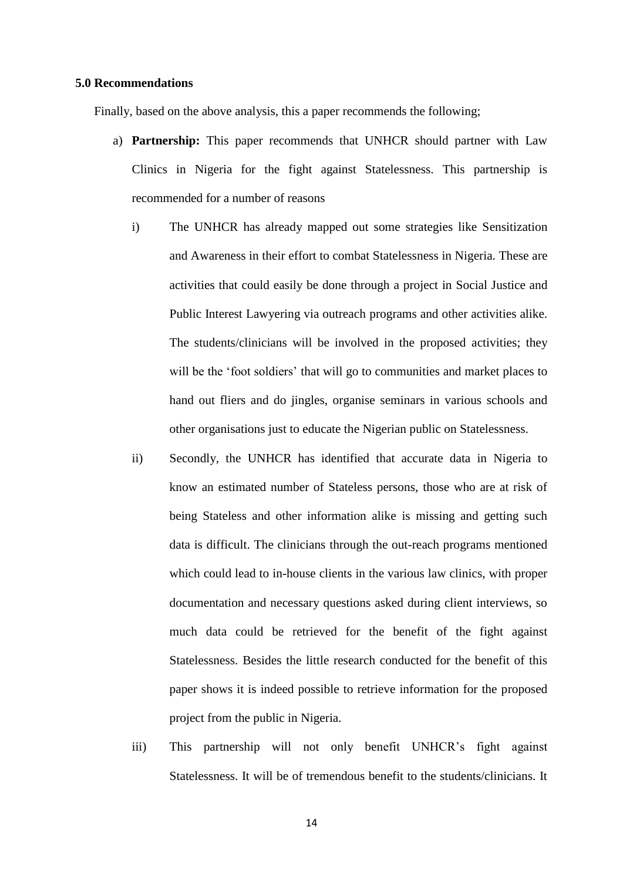#### **5.0 Recommendations**

Finally, based on the above analysis, this a paper recommends the following;

- a) **Partnership:** This paper recommends that UNHCR should partner with Law Clinics in Nigeria for the fight against Statelessness. This partnership is recommended for a number of reasons
	- i) The UNHCR has already mapped out some strategies like Sensitization and Awareness in their effort to combat Statelessness in Nigeria. These are activities that could easily be done through a project in Social Justice and Public Interest Lawyering via outreach programs and other activities alike. The students/clinicians will be involved in the proposed activities; they will be the 'foot soldiers' that will go to communities and market places to hand out fliers and do jingles, organise seminars in various schools and other organisations just to educate the Nigerian public on Statelessness.
	- ii) Secondly, the UNHCR has identified that accurate data in Nigeria to know an estimated number of Stateless persons, those who are at risk of being Stateless and other information alike is missing and getting such data is difficult. The clinicians through the out-reach programs mentioned which could lead to in-house clients in the various law clinics, with proper documentation and necessary questions asked during client interviews, so much data could be retrieved for the benefit of the fight against Statelessness. Besides the little research conducted for the benefit of this paper shows it is indeed possible to retrieve information for the proposed project from the public in Nigeria.
	- iii) This partnership will not only benefit UNHCR's fight against Statelessness. It will be of tremendous benefit to the students/clinicians. It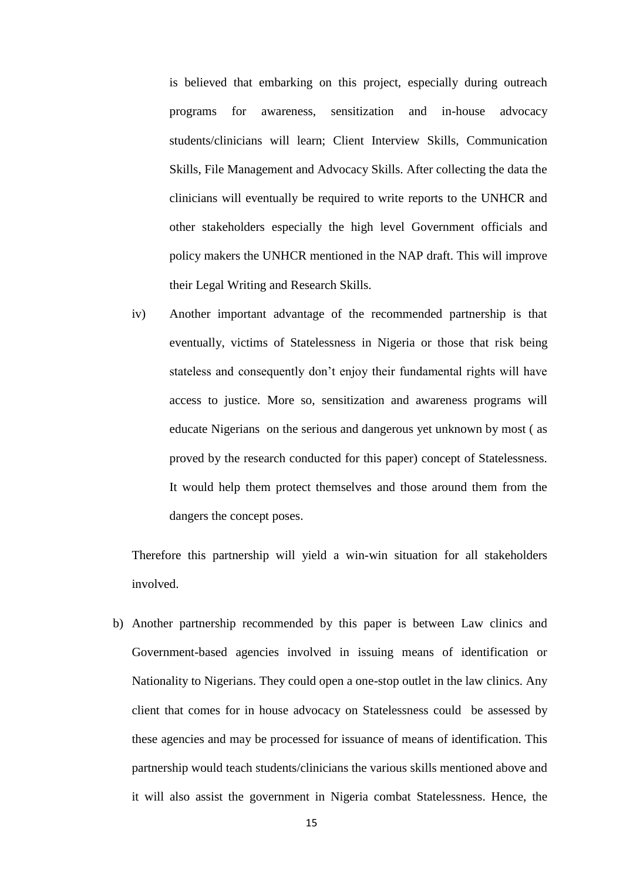is believed that embarking on this project, especially during outreach programs for awareness, sensitization and in-house advocacy students/clinicians will learn; Client Interview Skills, Communication Skills, File Management and Advocacy Skills. After collecting the data the clinicians will eventually be required to write reports to the UNHCR and other stakeholders especially the high level Government officials and policy makers the UNHCR mentioned in the NAP draft. This will improve their Legal Writing and Research Skills.

iv) Another important advantage of the recommended partnership is that eventually, victims of Statelessness in Nigeria or those that risk being stateless and consequently don't enjoy their fundamental rights will have access to justice. More so, sensitization and awareness programs will educate Nigerians on the serious and dangerous yet unknown by most ( as proved by the research conducted for this paper) concept of Statelessness. It would help them protect themselves and those around them from the dangers the concept poses.

Therefore this partnership will yield a win-win situation for all stakeholders involved.

b) Another partnership recommended by this paper is between Law clinics and Government-based agencies involved in issuing means of identification or Nationality to Nigerians. They could open a one-stop outlet in the law clinics. Any client that comes for in house advocacy on Statelessness could be assessed by these agencies and may be processed for issuance of means of identification. This partnership would teach students/clinicians the various skills mentioned above and it will also assist the government in Nigeria combat Statelessness. Hence, the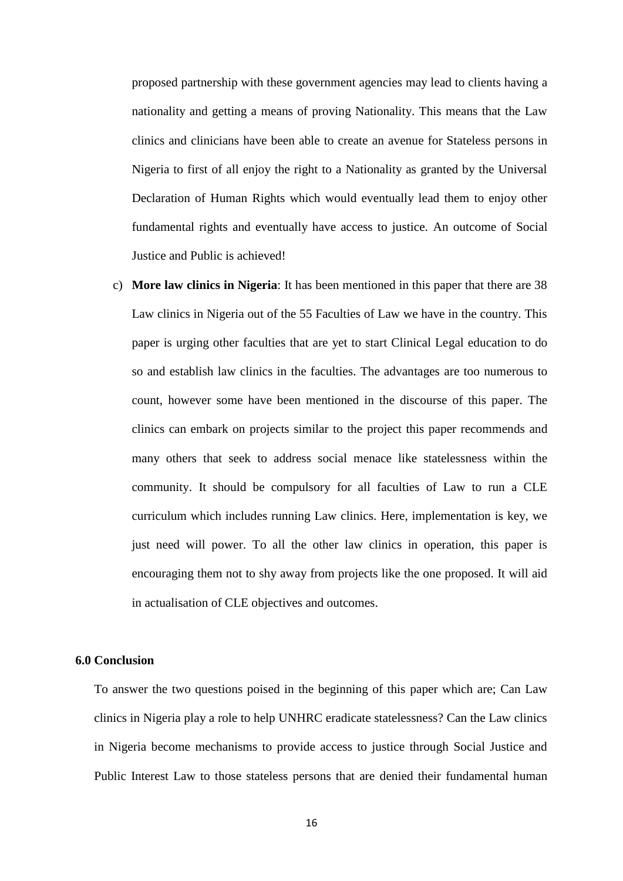proposed partnership with these government agencies may lead to clients having a nationality and getting a means of proving Nationality. This means that the Law clinics and clinicians have been able to create an avenue for Stateless persons in Nigeria to first of all enjoy the right to a Nationality as granted by the Universal Declaration of Human Rights which would eventually lead them to enjoy other fundamental rights and eventually have access to justice. An outcome of Social Justice and Public is achieved!

c) **More law clinics in Nigeria**: It has been mentioned in this paper that there are 38 Law clinics in Nigeria out of the 55 Faculties of Law we have in the country. This paper is urging other faculties that are yet to start Clinical Legal education to do so and establish law clinics in the faculties. The advantages are too numerous to count, however some have been mentioned in the discourse of this paper. The clinics can embark on projects similar to the project this paper recommends and many others that seek to address social menace like statelessness within the community. It should be compulsory for all faculties of Law to run a CLE curriculum which includes running Law clinics. Here, implementation is key, we just need will power. To all the other law clinics in operation, this paper is encouraging them not to shy away from projects like the one proposed. It will aid in actualisation of CLE objectives and outcomes.

### **6.0 Conclusion**

To answer the two questions poised in the beginning of this paper which are; Can Law clinics in Nigeria play a role to help UNHRC eradicate statelessness? Can the Law clinics in Nigeria become mechanisms to provide access to justice through Social Justice and Public Interest Law to those stateless persons that are denied their fundamental human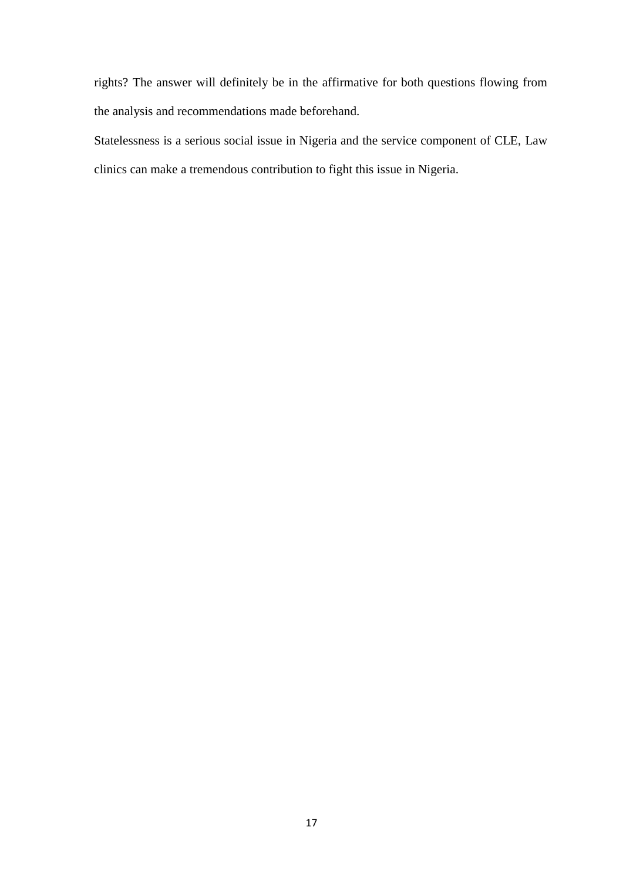rights? The answer will definitely be in the affirmative for both questions flowing from the analysis and recommendations made beforehand.

Statelessness is a serious social issue in Nigeria and the service component of CLE, Law clinics can make a tremendous contribution to fight this issue in Nigeria.